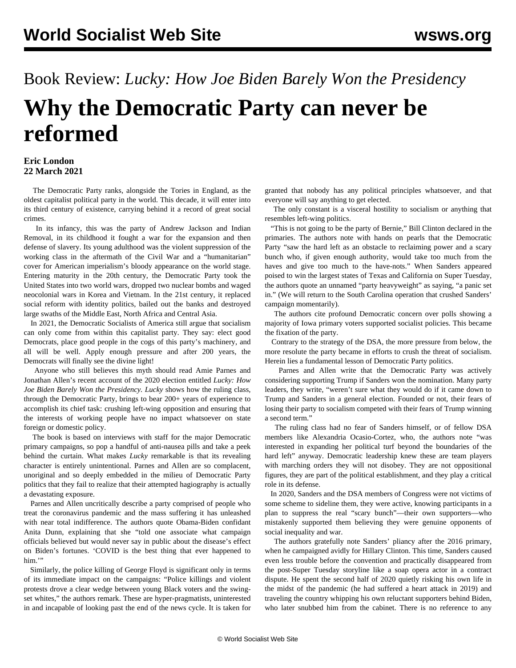## Book Review: *Lucky: How Joe Biden Barely Won the Presidency* **Why the Democratic Party can never be reformed**

## **Eric London 22 March 2021**

 The Democratic Party ranks, alongside the Tories in England, as the oldest capitalist political party in the world. This decade, it will enter into its third century of existence, carrying behind it a record of great social crimes.

 In its infancy, this was the party of Andrew Jackson and Indian Removal, in its childhood it fought a war for the expansion and then defense of slavery. Its young adulthood was the violent suppression of the working class in the aftermath of the Civil War and a "humanitarian" cover for American imperialism's bloody appearance on the world stage. Entering maturity in the 20th century, the Democratic Party took the United States into two world wars, dropped two nuclear bombs and waged neocolonial wars in Korea and Vietnam. In the 21st century, it replaced social reform with identity politics, bailed out the banks and destroyed large swaths of the Middle East, North Africa and Central Asia.

 In 2021, the Democratic Socialists of America still argue that socialism can only come from within this capitalist party. They say: elect good Democrats, place good people in the cogs of this party's machinery, and all will be well. Apply enough pressure and after 200 years, the Democrats will finally see the divine light!

 Anyone who still believes this myth should read Amie Parnes and Jonathan Allen's recent account of the 2020 election entitled *Lucky: How Joe Biden Barely Won the Presidency. Lucky* shows how the ruling class, through the Democratic Party, brings to bear 200+ years of experience to accomplish its chief task: crushing left-wing opposition and ensuring that the interests of working people have no impact whatsoever on state foreign or domestic policy.

 The book is based on interviews with staff for the major Democratic primary campaigns, so pop a handful of anti-nausea pills and take a peek behind the curtain. What makes *Lucky* remarkable is that its revealing character is entirely unintentional. Parnes and Allen are so complacent, unoriginal and so deeply embedded in the milieu of Democratic Party politics that they fail to realize that their attempted hagiography is actually a devastating exposure.

 Parnes and Allen uncritically describe a party comprised of people who treat the coronavirus pandemic and the mass suffering it has unleashed with near total indifference. The authors quote Obama-Biden confidant Anita Dunn, explaining that she "told one associate what campaign officials believed but would never say in public about the disease's effect on Biden's fortunes. 'COVID is the best thing that ever happened to him."

 Similarly, the police killing of George Floyd is significant only in terms of its immediate impact on the campaigns: "Police killings and violent protests drove a clear wedge between young Black voters and the swingset whites," the authors remark. These are hyper-pragmatists, uninterested in and incapable of looking past the end of the news cycle. It is taken for granted that nobody has any political principles whatsoever, and that everyone will say anything to get elected.

 The only constant is a visceral hostility to socialism or anything that resembles left-wing politics.

 "This is not going to be the party of Bernie," Bill Clinton declared in the primaries. The authors note with hands on pearls that the Democratic Party "saw the hard left as an obstacle to reclaiming power and a scary bunch who, if given enough authority, would take too much from the haves and give too much to the have-nots." When Sanders appeared poised to win the largest states of Texas and California on Super Tuesday, the authors quote an unnamed "party heavyweight" as saying, "a panic set in." (We will return to the South Carolina operation that crushed Sanders' campaign momentarily).

 The authors cite profound Democratic concern over polls showing a majority of Iowa primary voters supported socialist policies. This became the fixation of the party.

 Contrary to the strategy of the DSA, the more pressure from below, the more resolute the party became in efforts to crush the threat of socialism. Herein lies a fundamental lesson of Democratic Party politics.

 Parnes and Allen write that the Democratic Party was actively considering supporting Trump if Sanders won the nomination. Many party leaders, they write, "weren't sure what they would do if it came down to Trump and Sanders in a general election. Founded or not, their fears of losing their party to socialism competed with their fears of Trump winning a second term."

 The ruling class had no fear of Sanders himself, or of fellow DSA members like Alexandria Ocasio-Cortez, who, the authors note "was interested in expanding her political turf beyond the boundaries of the hard left" anyway. Democratic leadership knew these are team players with marching orders they will not disobey. They are not oppositional figures, they are part of the political establishment, and they play a critical role in its defense.

 In 2020, Sanders and the DSA members of Congress were not victims of some scheme to sideline them, they were active, knowing participants in a plan to suppress the real "scary bunch"—their own supporters—who mistakenly supported them believing they were genuine opponents of social inequality and war.

 The authors gratefully note Sanders' pliancy after the 2016 primary, when he campaigned avidly for Hillary Clinton. This time, Sanders caused even less trouble before the convention and practically disappeared from the post-Super Tuesday storyline like a soap opera actor in a contract dispute. He spent the second half of 2020 quietly risking his own life in the midst of the pandemic (he had suffered a heart attack in 2019) and traveling the country whipping his own reluctant supporters behind Biden, who later snubbed him from the cabinet. There is no reference to any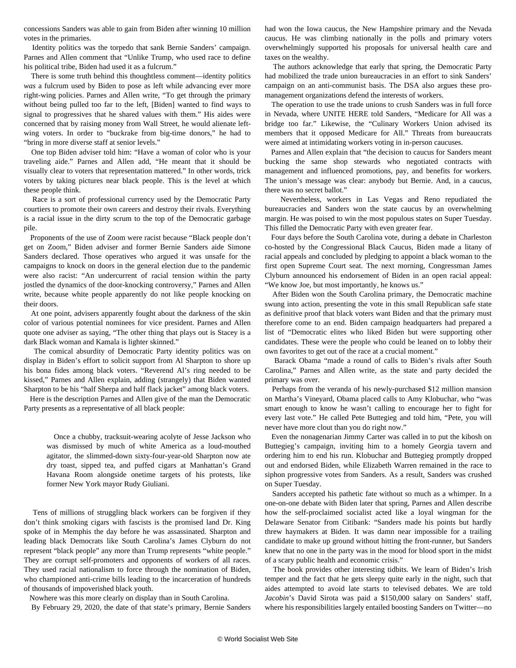concessions Sanders was able to gain from Biden after winning 10 million votes in the primaries.

 Identity politics was the torpedo that sank Bernie Sanders' campaign. Parnes and Allen comment that "Unlike Trump, who used race to define his political tribe, Biden had used it as a fulcrum."

 There is some truth behind this thoughtless comment—identity politics *was* a fulcrum used by Biden to pose as left while advancing ever more right-wing policies. Parnes and Allen write, "To get through the primary without being pulled too far to the left, [Biden] wanted to find ways to signal to progressives that he shared values with them." His aides were concerned that by raising money from Wall Street, he would alienate leftwing voters. In order to "buckrake from big-time donors," he had to "bring in more diverse staff at senior levels."

 One top Biden adviser told him: "Have a woman of color who is your traveling aide." Parnes and Allen add, "He meant that it should be visually clear to voters that representation mattered." In other words, trick voters by taking pictures near black people. This is the level at which these people think.

 Race is a sort of professional currency used by the Democratic Party courtiers to promote their own careers and destroy their rivals. Everything is a racial issue in the dirty scrum to the top of the Democratic garbage pile.

 Proponents of the use of Zoom were racist because "Black people don't get on Zoom," Biden adviser and former Bernie Sanders aide Simone Sanders declared. Those operatives who argued it was unsafe for the campaigns to knock on doors in the general election due to the pandemic were also racist: "An undercurrent of racial tension within the party jostled the dynamics of the door-knocking controversy," Parnes and Allen write, because white people apparently do not like people knocking on their doors.

 At one point, advisers apparently fought about the darkness of the skin color of various potential nominees for vice president. Parnes and Allen quote one adviser as saying, "The other thing that plays out is Stacey is a dark Black woman and Kamala is lighter skinned."

 The comical absurdity of Democratic Party identity politics was on display in Biden's effort to solicit support from Al Sharpton to shore up his bona fides among black voters. "Reverend Al's ring needed to be kissed," Parnes and Allen explain, adding (strangely) that Biden wanted Sharpton to be his "half Sherpa and half flack jacket" among black voters.

 Here is the description Parnes and Allen give of the man the Democratic Party presents as a representative of all black people:

 Once a chubby, tracksuit-wearing acolyte of Jesse Jackson who was dismissed by much of white America as a loud-mouthed agitator, the slimmed-down sixty-four-year-old Sharpton now ate dry toast, sipped tea, and puffed cigars at Manhattan's Grand Havana Room alongside onetime targets of his protests, like former New York mayor Rudy Giuliani.

 Tens of millions of struggling black workers can be forgiven if they don't think smoking cigars with fascists is the promised land Dr. King spoke of in Memphis the day before he was assassinated. Sharpton and leading black Democrats like South Carolina's James Clyburn do not represent "black people" any more than Trump represents "white people." They are corrupt self-promoters and opponents of workers of all races. They used racial nationalism to force through the nomination of Biden, who championed anti-crime bills leading to the incarceration of hundreds of thousands of impoverished black youth.

Nowhere was this more clearly on display than in South Carolina.

By February 29, 2020, the date of that state's primary, Bernie Sanders

had won the Iowa caucus, the New Hampshire primary and the Nevada caucus. He was climbing nationally in the polls and primary voters overwhelmingly supported his proposals for universal health care and taxes on the wealthy.

 The authors acknowledge that early that spring, the Democratic Party had mobilized the trade union bureaucracies in an effort to sink Sanders' campaign on an anti-communist basis. The DSA also argues these promanagement organizations defend the interests of workers.

 The operation to use the trade unions to crush Sanders was in full force in Nevada, where UNITE HERE told Sanders, "Medicare for All was a bridge too far." Likewise, the "Culinary Workers Union advised its members that it opposed Medicare for All." Threats from bureaucrats were aimed at intimidating workers voting in in-person caucuses.

 Parnes and Allen explain that "the decision to caucus for Sanders meant bucking the same shop stewards who negotiated contracts with management and influenced promotions, pay, and benefits for workers. The union's message was clear: anybody but Bernie. And, in a caucus, there was no secret ballot."

 Nevertheless, workers in Las Vegas and Reno repudiated the bureaucracies and Sanders won the state caucus by an overwhelming margin. He was poised to win the most populous states on Super Tuesday. This filled the Democratic Party with even greater fear.

 Four days before the South Carolina vote, during a debate in Charleston co-hosted by the Congressional Black Caucus, Biden made a litany of racial appeals and concluded by pledging to appoint a black woman to the first open Supreme Court seat. The next morning, Congressman James Clyburn announced his endorsement of Biden in an open racial appeal: "We know Joe, but most importantly, he knows us."

 After Biden won the South Carolina primary, the Democratic machine swung into action, presenting the vote in this small Republican safe state as definitive proof that black voters want Biden and that the primary must therefore come to an end. Biden campaign headquarters had prepared a list of "Democratic elites who liked Biden but were supporting other candidates. These were the people who could be leaned on to lobby their own favorites to get out of the race at a crucial moment."

 Barack Obama "made a round of calls to Biden's rivals after South Carolina," Parnes and Allen write, as the state and party decided the primary was over.

 Perhaps from the veranda of his newly-purchased \$12 million mansion on Martha's Vineyard, Obama placed calls to Amy Klobuchar, who "was smart enough to know he wasn't calling to encourage her to fight for every last vote." He called Pete Buttegieg and told him, "Pete, you will never have more clout than you do right now."

 Even the nonagenarian Jimmy Carter was called in to put the kibosh on Buttegieg's campaign, inviting him to a homely Georgia tavern and ordering him to end his run. Klobuchar and Buttegieg promptly dropped out and endorsed Biden, while Elizabeth Warren remained in the race to siphon progressive votes from Sanders. As a result, Sanders was crushed on Super Tuesday.

 Sanders accepted his pathetic fate without so much as a whimper. In a one-on-one debate with Biden later that spring, Parnes and Allen describe how the self-proclaimed socialist acted like a loyal wingman for the Delaware Senator from Citibank: "Sanders made his points but hardly threw haymakers at Biden. It was damn near impossible for a trailing candidate to make up ground without hitting the front-runner, but Sanders knew that no one in the party was in the mood for blood sport in the midst of a scary public health and economic crisis."

 The book provides other interesting tidbits. We learn of Biden's Irish temper and the fact that he gets sleepy quite early in the night, such that aides attempted to avoid late starts to televised debates. We are told *Jacobin*'s David Sirota was paid a \$150,000 salary on Sanders' staff, where his responsibilities largely entailed boosting Sanders on Twitter—no